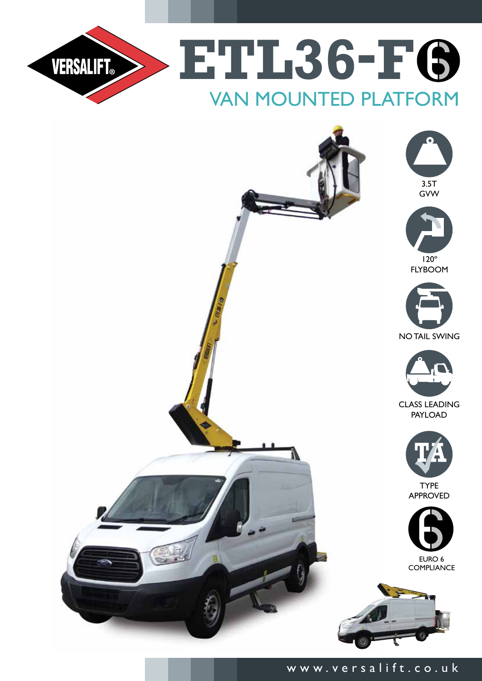



## www.versalift.co.uk